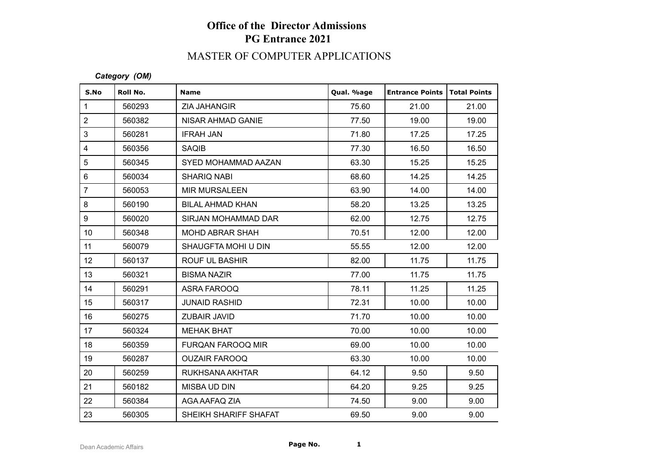# **Office of the Director Admissions PG Entrance 2021**

## MASTER OF COMPUTER APPLICATIONS

#### *Category (OM)*

| S.No             | Roll No. | <b>Name</b>              | Qual. %age | <b>Entrance Points</b> | <b>Total Points</b> |
|------------------|----------|--------------------------|------------|------------------------|---------------------|
| $\mathbf{1}$     | 560293   | ZIA JAHANGIR             | 75.60      | 21.00                  | 21.00               |
| $\sqrt{2}$       | 560382   | NISAR AHMAD GANIE        | 77.50      | 19.00                  | 19.00               |
| $\mathfrak{S}$   | 560281   | <b>IFRAH JAN</b>         | 71.80      | 17.25                  | 17.25               |
| $\overline{4}$   | 560356   | <b>SAQIB</b>             | 77.30      | 16.50                  | 16.50               |
| $\sqrt{5}$       | 560345   | SYED MOHAMMAD AAZAN      | 63.30      | 15.25                  | 15.25               |
| $\,6\,$          | 560034   | <b>SHARIQ NABI</b>       | 68.60      | 14.25                  | 14.25               |
| $\overline{7}$   | 560053   | <b>MIR MURSALEEN</b>     | 63.90      | 14.00                  | 14.00               |
| $\bf 8$          | 560190   | <b>BILAL AHMAD KHAN</b>  | 58.20      | 13.25                  | 13.25               |
| $\boldsymbol{9}$ | 560020   | SIRJAN MOHAMMAD DAR      | 62.00      | 12.75                  | 12.75               |
| 10 <sup>°</sup>  | 560348   | <b>MOHD ABRAR SHAH</b>   | 70.51      | 12.00                  | 12.00               |
| 11               | 560079   | SHAUGFTA MOHI U DIN      | 55.55      | 12.00                  | 12.00               |
| 12               | 560137   | <b>ROUF UL BASHIR</b>    | 82.00      | 11.75                  | 11.75               |
| 13               | 560321   | <b>BISMA NAZIR</b>       | 77.00      | 11.75                  | 11.75               |
| 14               | 560291   | ASRA FAROOQ              | 78.11      | 11.25                  | 11.25               |
| 15               | 560317   | <b>JUNAID RASHID</b>     | 72.31      | 10.00                  | 10.00               |
| 16               | 560275   | ZUBAIR JAVID             | 71.70      | 10.00                  | 10.00               |
| 17               | 560324   | <b>MEHAK BHAT</b>        | 70.00      | 10.00                  | 10.00               |
| 18               | 560359   | <b>FURQAN FAROOQ MIR</b> | 69.00      | 10.00                  | 10.00               |
| 19               | 560287   | <b>OUZAIR FAROOQ</b>     | 63.30      | 10.00                  | 10.00               |
| 20               | 560259   | RUKHSANA AKHTAR          | 64.12      | 9.50                   | 9.50                |
| 21               | 560182   | MISBA UD DIN             | 64.20      | 9.25                   | 9.25                |
| 22               | 560384   | AGA AAFAQ ZIA            | 74.50      | 9.00                   | 9.00                |
| 23               | 560305   | SHEIKH SHARIFF SHAFAT    | 69.50      | 9.00                   | 9.00                |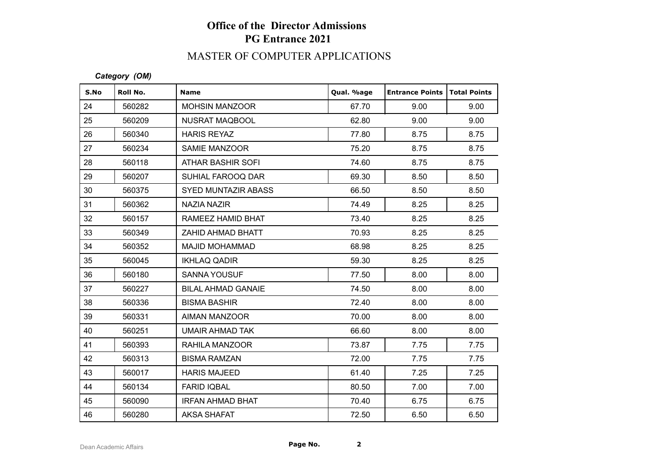# **Office of the Director Admissions PG Entrance 2021**

## MASTER OF COMPUTER APPLICATIONS

*Category (OM)*

| S.No | Roll No. | <b>Name</b>               | Qual. %age | <b>Entrance Points   Total Points</b> |      |
|------|----------|---------------------------|------------|---------------------------------------|------|
| 24   | 560282   | <b>MOHSIN MANZOOR</b>     | 67.70      | 9.00                                  | 9.00 |
| 25   | 560209   | <b>NUSRAT MAQBOOL</b>     | 62.80      | 9.00                                  | 9.00 |
| 26   | 560340   | <b>HARIS REYAZ</b>        | 77.80      | 8.75                                  | 8.75 |
| 27   | 560234   | <b>SAMIE MANZOOR</b>      | 75.20      | 8.75                                  | 8.75 |
| 28   | 560118   | ATHAR BASHIR SOFI         | 74.60      | 8.75                                  | 8.75 |
| 29   | 560207   | SUHIAL FAROOQ DAR         | 69.30      | 8.50                                  | 8.50 |
| 30   | 560375   | SYED MUNTAZIR ABASS       | 66.50      | 8.50                                  | 8.50 |
| 31   | 560362   | <b>NAZIA NAZIR</b>        | 74.49      | 8.25                                  | 8.25 |
| 32   | 560157   | RAMEEZ HAMID BHAT         | 73.40      | 8.25                                  | 8.25 |
| 33   | 560349   | ZAHID AHMAD BHATT         | 70.93      | 8.25                                  | 8.25 |
| 34   | 560352   | <b>MAJID MOHAMMAD</b>     | 68.98      | 8.25                                  | 8.25 |
| 35   | 560045   | <b>IKHLAQ QADIR</b>       | 59.30      | 8.25                                  | 8.25 |
| 36   | 560180   | <b>SANNA YOUSUF</b>       | 77.50      | 8.00                                  | 8.00 |
| 37   | 560227   | <b>BILAL AHMAD GANAIE</b> | 74.50      | 8.00                                  | 8.00 |
| 38   | 560336   | <b>BISMA BASHIR</b>       | 72.40      | 8.00                                  | 8.00 |
| 39   | 560331   | AIMAN MANZOOR             | 70.00      | 8.00                                  | 8.00 |
| 40   | 560251   | <b>UMAIR AHMAD TAK</b>    | 66.60      | 8.00                                  | 8.00 |
| 41   | 560393   | RAHILA MANZOOR            | 73.87      | 7.75                                  | 7.75 |
| 42   | 560313   | <b>BISMA RAMZAN</b>       | 72.00      | 7.75                                  | 7.75 |
| 43   | 560017   | <b>HARIS MAJEED</b>       | 61.40      | 7.25                                  | 7.25 |
| 44   | 560134   | <b>FARID IQBAL</b>        | 80.50      | 7.00                                  | 7.00 |
| 45   | 560090   | <b>IRFAN AHMAD BHAT</b>   | 70.40      | 6.75                                  | 6.75 |
| 46   | 560280   | <b>AKSA SHAFAT</b>        | 72.50      | 6.50                                  | 6.50 |